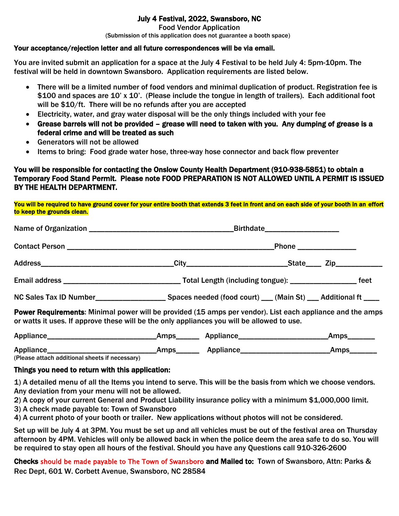## July 4 Festival, 2022, Swansboro, NC

Food Vendor Application

(Submission of this application does not guarantee a booth space)

#### Your acceptance/rejection letter and all future correspondences will be via email.

You are invited submit an application for a space at the July 4 Festival to be held July 4: 5pm-10pm. The festival will be held in downtown Swansboro. Application requirements are listed below.

- There will be a limited number of food vendors and minimal duplication of product. Registration fee is \$100 and spaces are 10' x 10'. (Please include the tongue in length of trailers). Each additional foot will be \$10/ft. There will be no refunds after you are accepted
- Electricity, water, and gray water disposal will be the only things included with your fee
- Grease barrels will not be provided grease will need to taken with you. Any dumping of grease is a federal crime and will be treated as such
- Generators will not be allowed
- Items to bring: Food grade water hose, three-way hose connector and back flow preventer

### You will be responsible for contacting the Onslow County Health Department (910-938-5851) to obtain a Temporary Food Stand Permit. Please note FOOD PREPARATION IS NOT ALLOWED UNTIL A PERMIT IS ISSUED BY THE HEALTH DEPARTMENT.

You will be required to have ground cover for your entire booth that extends 3 feet in front and on each side of your booth in an effort to keep the grounds clean.

|                                                                                                                                                                                                                | Birthdate_____________________<br>_Phone ________________ |  |  |
|----------------------------------------------------------------------------------------------------------------------------------------------------------------------------------------------------------------|-----------------------------------------------------------|--|--|
|                                                                                                                                                                                                                |                                                           |  |  |
|                                                                                                                                                                                                                |                                                           |  |  |
|                                                                                                                                                                                                                |                                                           |  |  |
|                                                                                                                                                                                                                |                                                           |  |  |
| <b>Power Requirements:</b> Minimal power will be provided (15 amps per vendor). List each appliance and the amps<br>or watts it uses. If approve these will be the only appliances you will be allowed to use. |                                                           |  |  |

Appliance\_\_\_\_\_\_\_\_\_\_\_\_\_\_\_\_\_\_\_\_\_\_\_\_\_\_\_\_Amps\_\_\_\_\_\_ Appliance\_\_\_\_\_\_\_\_\_\_\_\_\_\_\_\_\_\_\_\_\_\_\_Amps\_\_\_\_\_\_\_ Appliance\_\_\_\_\_\_\_\_\_\_\_\_\_\_\_\_\_\_\_\_\_\_\_\_\_\_\_\_Amps\_\_\_\_\_\_ Appliance\_\_\_\_\_\_\_\_\_\_\_\_\_\_\_\_\_\_\_\_\_\_\_Amps\_\_\_\_\_\_\_

(Please attach additional sheets if necessary)

### Things you need to return with this application:

1) A detailed menu of all the Items you intend to serve. This will be the basis from which we choose vendors. Any deviation from your menu will not be allowed.

2) A copy of your current General and Product Liability insurance policy with a minimum \$1,000,000 limit.

3) A check made payable to: Town of Swansboro

4) A current photo of your booth or trailer. New applications without photos will not be considered.

Set up will be July 4 at 3PM. You must be set up and all vehicles must be out of the festival area on Thursday afternoon by 4PM. Vehicles will only be allowed back in when the police deem the area safe to do so. You will be required to stay open all hours of the festival. Should you have any Questions call 910-326-2600

Checks should be made payable to The Town of Swansboro and Mailed to: Town of Swansboro, Attn: Parks & Rec Dept, 601 W. Corbett Avenue, Swansboro, NC 28584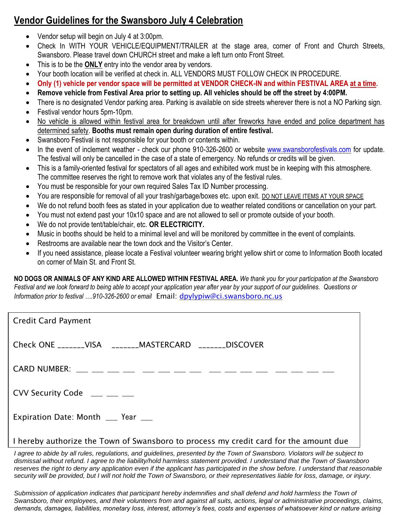# **Vendor Guidelines for the Swansboro July 4 Celebration**

- Vendor setup will begin on July 4 at 3:00pm.
- Check In WITH YOUR VEHICLE/EQUIPMENT/TRAILER at the stage area, corner of Front and Church Streets, Swansboro. Please travel down CHURCH street and make a left turn onto Front Street.
- This is to be the **ONLY** entry into the vendor area by vendors.
- Your booth location will be verified at check in. ALL VENDORS MUST FOLLOW CHECK IN PROCEDURE.
- **Only (1) vehicle per vendor space will be permitted at VENDOR CHECK-IN and within FESTIVAL AREA at a time.**
- **Remove vehicle from Festival Area prior to setting up. All vehicles should be off the street by 4:00PM.**
- There is no designated Vendor parking area. Parking is available on side streets wherever there is not a NO Parking sign.
- Festival vendor hours 5pm-10pm.
- No vehicle is allowed within festival area for breakdown until after fireworks have ended and police department has determined safety. **Booths must remain open during duration of entire festival.**
- Swansboro Festival is not responsible for your booth or contents within.
- In the event of inclement weather check our phone 910-326-2600 or website [www.swansborofestivals.com](http://www.swansborofestivals.com/) for update. The festival will only be cancelled in the case of a state of emergency. No refunds or credits will be given.
- This is a family-oriented festival for spectators of all ages and exhibited work must be in keeping with this atmosphere. The committee reserves the right to remove work that violates any of the festival rules.
- You must be responsible for your own required Sales Tax ID Number processing.
- You are responsible for removal of all your trash/garbage/boxes etc. upon exit. DO NOT LEAVE ITEMS AT YOUR SPACE
- We do not refund booth fees as stated in your application due to weather related conditions or cancellation on your part.
- You must not extend past your 10x10 space and are not allowed to sell or promote outside of your booth.
- We do not provide tent/table/chair, etc. **OR ELECTRICITY.**
- Music in booths should be held to a minimal level and will be monitored by committee in the event of complaints.
- Restrooms are available near the town dock and the Visitor's Center.
- If you need assistance, please locate a Festival volunteer wearing bright yellow shirt or come to Information Booth located on corner of Main St. and Front St.

**NO DOGS OR ANIMALS OF ANY KIND ARE ALLOWED WITHIN FESTIVAL AREA.** *We thank you for your participation at the Swansboro Festival and we look forward to being able to accept your application year after year by your support of our guidelines.**Questions or Information prior to festival ….910-326-2600 or email* Email: [dpylypiw@ci.swansboro.nc.us](mailto:dpylypiw@ci.swansboro.nc.us)

| <b>Credit Card Payment</b>                                                            |  |  |  |
|---------------------------------------------------------------------------------------|--|--|--|
| Check ONE _______VISA _______MASTERCARD _______DISCOVER                               |  |  |  |
|                                                                                       |  |  |  |
| CVV Security Code $\_\_\_\_\_\_\_\_\_\_\_\_\_\_$                                      |  |  |  |
| Expiration Date: Month ___ Year ___                                                   |  |  |  |
| I hereby authorize the Town of Swansboro to process my credit card for the amount due |  |  |  |

I agree to abide by all rules, regulations, and guidelines, presented by the Town of Swansboro. Violators will be subject to *dismissal without refund. I agree to the liability/hold harmless statement provided. I understand that the Town of Swansboro*  reserves the right to deny any application even if the applicant has participated in the show before. I understand that reasonable security will be provided, but I will not hold the Town of Swansboro, or their representatives liable for loss, damage, or injury.

Submission of application indicates that participant hereby indemnifies and shall defend and hold harmless the Town of *Swansboro, their employees, and their volunteers from and against all suits, actions, legal or administrative proceedings, claims, demands, damages, liabilities, monetary loss, interest, attorney's fees, costs and expenses of whatsoever kind or nature arising*